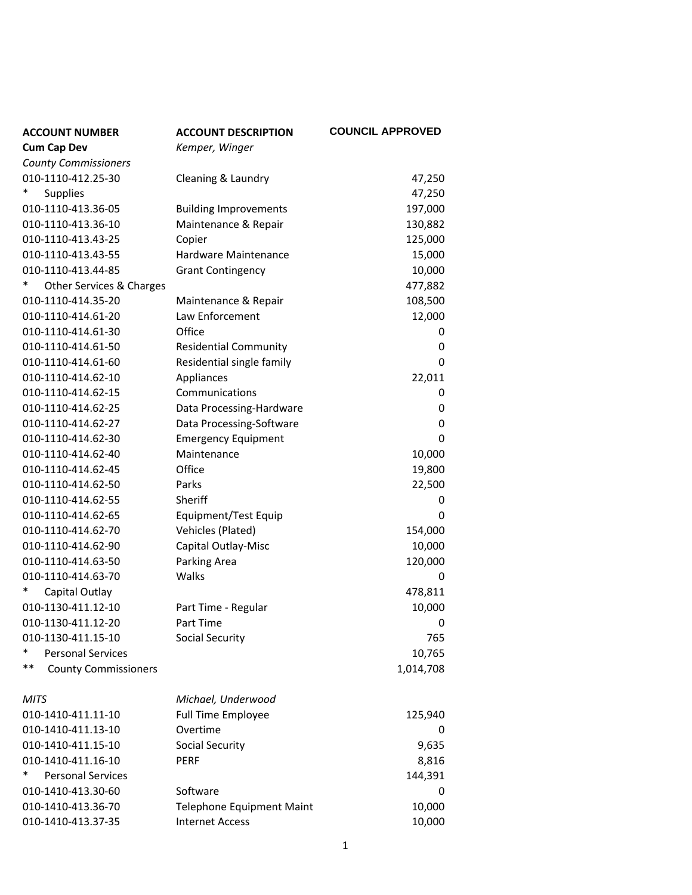| <b>ACCOUNT NUMBER</b>             | <b>ACCOUNT DESCRIPTION</b>       | <b>COUNCIL APPROVED</b> |
|-----------------------------------|----------------------------------|-------------------------|
| <b>Cum Cap Dev</b>                | Kemper, Winger                   |                         |
| <b>County Commissioners</b>       |                                  |                         |
| 010-1110-412.25-30                | Cleaning & Laundry               | 47,250                  |
| *<br><b>Supplies</b>              |                                  | 47,250                  |
| 010-1110-413.36-05                | <b>Building Improvements</b>     | 197,000                 |
| 010-1110-413.36-10                | Maintenance & Repair             | 130,882                 |
| 010-1110-413.43-25                | Copier                           | 125,000                 |
| 010-1110-413.43-55                | Hardware Maintenance             | 15,000                  |
| 010-1110-413.44-85                | <b>Grant Contingency</b>         | 10,000                  |
| Other Services & Charges          |                                  | 477,882                 |
| 010-1110-414.35-20                | Maintenance & Repair             | 108,500                 |
| 010-1110-414.61-20                | Law Enforcement                  | 12,000                  |
| 010-1110-414.61-30                | Office                           | 0                       |
| 010-1110-414.61-50                | <b>Residential Community</b>     | 0                       |
| 010-1110-414.61-60                | Residential single family        | 0                       |
| 010-1110-414.62-10                | Appliances                       | 22,011                  |
| 010-1110-414.62-15                | Communications                   | 0                       |
| 010-1110-414.62-25                | Data Processing-Hardware         | 0                       |
| 010-1110-414.62-27                | Data Processing-Software         | 0                       |
| 010-1110-414.62-30                | <b>Emergency Equipment</b>       | 0                       |
| 010-1110-414.62-40                | Maintenance                      | 10,000                  |
| 010-1110-414.62-45                | Office                           | 19,800                  |
| 010-1110-414.62-50                | Parks                            | 22,500                  |
| 010-1110-414.62-55                | Sheriff                          | 0                       |
| 010-1110-414.62-65                | Equipment/Test Equip             | 0                       |
| 010-1110-414.62-70                | Vehicles (Plated)                | 154,000                 |
| 010-1110-414.62-90                | Capital Outlay-Misc              | 10,000                  |
| 010-1110-414.63-50                | Parking Area                     | 120,000                 |
| 010-1110-414.63-70                | Walks                            | 0                       |
| Capital Outlay                    |                                  | 478,811                 |
| 010-1130-411.12-10                | Part Time - Regular              | 10,000                  |
| 010-1130-411.12-20                | Part Time                        | 0                       |
| 010-1130-411.15-10                | <b>Social Security</b>           | 765                     |
| *<br><b>Personal Services</b>     |                                  | 10,765                  |
| **<br><b>County Commissioners</b> |                                  | 1,014,708               |
| <b>MITS</b>                       | Michael, Underwood               |                         |
| 010-1410-411.11-10                | <b>Full Time Employee</b>        | 125,940                 |
| 010-1410-411.13-10                | Overtime                         | 0                       |
| 010-1410-411.15-10                | <b>Social Security</b>           | 9,635                   |
| 010-1410-411.16-10                | <b>PERF</b>                      | 8,816                   |
| *<br><b>Personal Services</b>     |                                  | 144,391                 |
| 010-1410-413.30-60                | Software                         | 0                       |
| 010-1410-413.36-70                | <b>Telephone Equipment Maint</b> | 10,000                  |
| 010-1410-413.37-35                | <b>Internet Access</b>           | 10,000                  |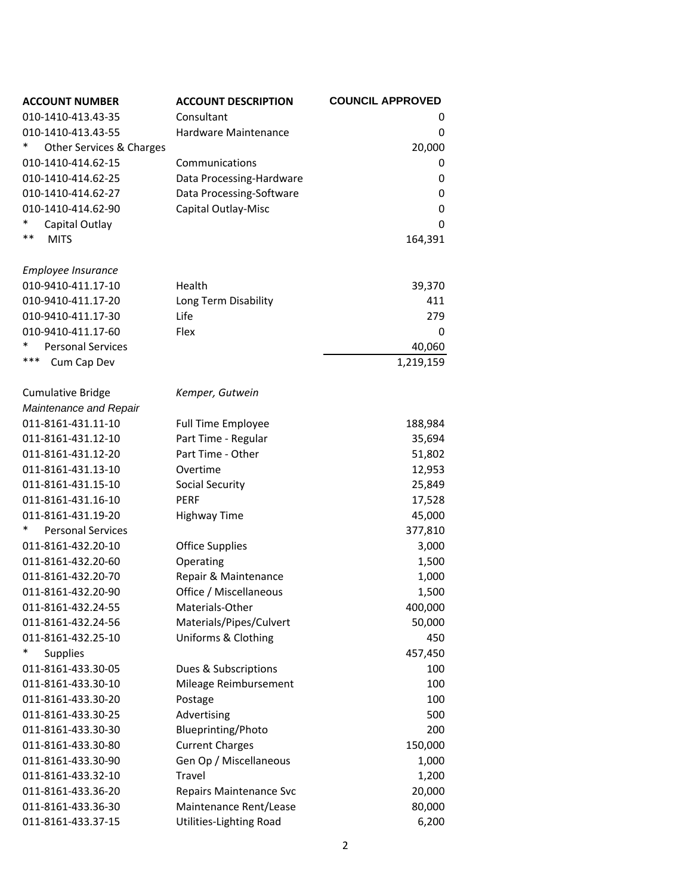| <b>ACCOUNT NUMBER</b>                        | <b>ACCOUNT DESCRIPTION</b>               | <b>COUNCIL APPROVED</b> |
|----------------------------------------------|------------------------------------------|-------------------------|
| 010-1410-413.43-35                           | Consultant                               | 0                       |
| 010-1410-413.43-55                           | Hardware Maintenance                     | 0                       |
| ∗<br>Other Services & Charges                |                                          | 20,000                  |
| 010-1410-414.62-15                           | Communications                           | 0                       |
| 010-1410-414.62-25                           | Data Processing-Hardware                 | 0                       |
| 010-1410-414.62-27                           | Data Processing-Software                 | 0                       |
| 010-1410-414.62-90                           | Capital Outlay-Misc                      | $\mathbf 0$             |
| $\ast$<br>Capital Outlay                     |                                          | $\mathbf 0$             |
| $***$<br><b>MITS</b>                         |                                          | 164,391                 |
| Employee Insurance                           |                                          |                         |
| 010-9410-411.17-10                           | Health                                   | 39,370                  |
| 010-9410-411.17-20                           | Long Term Disability                     | 411                     |
| 010-9410-411.17-30                           | Life                                     | 279                     |
| 010-9410-411.17-60                           | Flex                                     | 0                       |
| $\ast$<br><b>Personal Services</b>           |                                          | 40,060                  |
| ***<br>Cum Cap Dev                           |                                          | 1,219,159               |
|                                              |                                          |                         |
| <b>Cumulative Bridge</b>                     | Kemper, Gutwein                          |                         |
| Maintenance and Repair<br>011-8161-431.11-10 |                                          |                         |
|                                              | <b>Full Time Employee</b>                | 188,984                 |
| 011-8161-431.12-10                           | Part Time - Regular<br>Part Time - Other | 35,694                  |
| 011-8161-431.12-20                           |                                          | 51,802                  |
| 011-8161-431.13-10                           | Overtime                                 | 12,953                  |
| 011-8161-431.15-10                           | Social Security<br><b>PERF</b>           | 25,849                  |
| 011-8161-431.16-10                           |                                          | 17,528                  |
| 011-8161-431.19-20<br>*                      | <b>Highway Time</b>                      | 45,000                  |
| <b>Personal Services</b>                     |                                          | 377,810                 |
| 011-8161-432.20-10                           | <b>Office Supplies</b>                   | 3,000                   |
| 011-8161-432.20-60                           | Operating                                | 1,500                   |
| 011-8161-432.20-70                           | Repair & Maintenance                     | 1,000                   |
| 011-8161-432.20-90                           | Office / Miscellaneous                   | 1,500                   |
| 011-8161-432.24-55                           | Materials-Other                          | 400,000                 |
| 011-8161-432.24-56                           | Materials/Pipes/Culvert                  | 50,000                  |
| 011-8161-432.25-10<br>*                      | Uniforms & Clothing                      | 450                     |
| <b>Supplies</b>                              |                                          | 457,450                 |
| 011-8161-433.30-05                           | Dues & Subscriptions                     | 100                     |
| 011-8161-433.30-10                           | Mileage Reimbursement                    | 100                     |
| 011-8161-433.30-20                           | Postage                                  | 100                     |
| 011-8161-433.30-25                           | Advertising                              | 500                     |
| 011-8161-433.30-30                           | Blueprinting/Photo                       | 200                     |
| 011-8161-433.30-80                           | <b>Current Charges</b>                   | 150,000                 |
| 011-8161-433.30-90                           | Gen Op / Miscellaneous                   | 1,000                   |
| 011-8161-433.32-10                           | Travel                                   | 1,200                   |
| 011-8161-433.36-20                           | Repairs Maintenance Svc                  | 20,000                  |
| 011-8161-433.36-30                           | Maintenance Rent/Lease                   | 80,000                  |
| 011-8161-433.37-15                           | Utilities-Lighting Road                  | 6,200                   |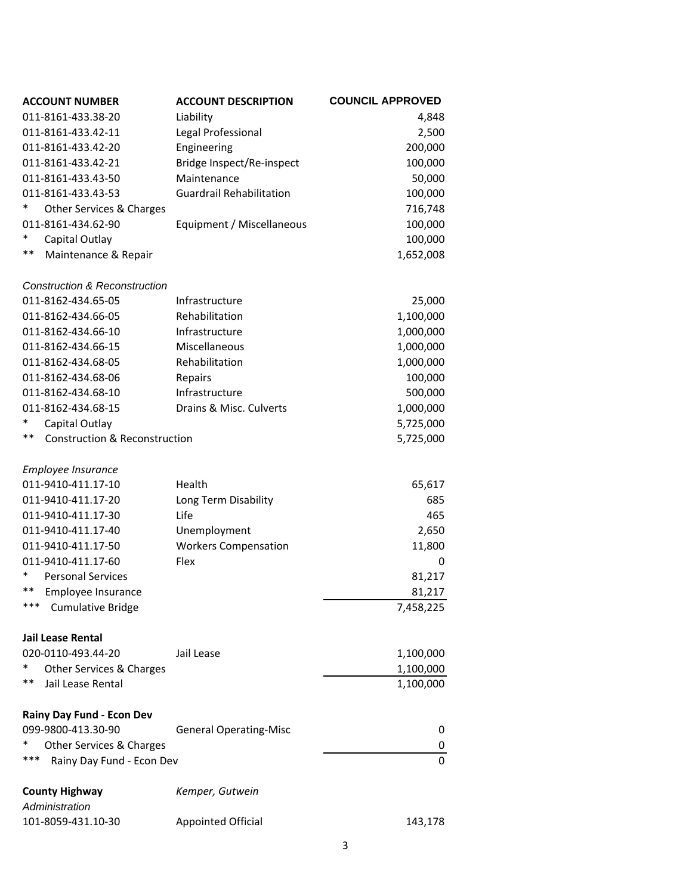| <b>ACCOUNT NUMBER</b>                          | <b>ACCOUNT DESCRIPTION</b>      | <b>COUNCIL APPROVED</b> |
|------------------------------------------------|---------------------------------|-------------------------|
| 011-8161-433.38-20                             | Liability                       | 4,848                   |
| 011-8161-433.42-11                             | Legal Professional              | 2,500                   |
| 011-8161-433.42-20                             | Engineering                     | 200,000                 |
| 011-8161-433.42-21                             | Bridge Inspect/Re-inspect       | 100,000                 |
| 011-8161-433.43-50                             | Maintenance                     | 50,000                  |
| 011-8161-433.43-53                             | <b>Guardrail Rehabilitation</b> | 100,000                 |
| *<br>Other Services & Charges                  |                                 | 716,748                 |
| 011-8161-434.62-90                             | Equipment / Miscellaneous       | 100,000                 |
| *<br>Capital Outlay                            |                                 | 100,000                 |
| $***$<br>Maintenance & Repair                  |                                 | 1,652,008               |
| <b>Construction &amp; Reconstruction</b>       |                                 |                         |
| 011-8162-434.65-05                             | Infrastructure                  | 25,000                  |
| 011-8162-434.66-05                             | Rehabilitation                  | 1,100,000               |
| 011-8162-434.66-10                             | Infrastructure                  | 1,000,000               |
| 011-8162-434.66-15                             | Miscellaneous                   | 1,000,000               |
| 011-8162-434.68-05                             | Rehabilitation                  | 1,000,000               |
| 011-8162-434.68-06                             | Repairs                         | 100,000                 |
| 011-8162-434.68-10                             | Infrastructure                  | 500,000                 |
| 011-8162-434.68-15                             | Drains & Misc. Culverts         | 1,000,000               |
| Capital Outlay                                 |                                 | 5,725,000               |
| **<br><b>Construction &amp; Reconstruction</b> |                                 | 5,725,000               |
| Employee Insurance                             |                                 |                         |
| 011-9410-411.17-10                             | Health                          | 65,617                  |
| 011-9410-411.17-20                             | Long Term Disability            | 685                     |
| 011-9410-411.17-30                             | Life                            | 465                     |
| 011-9410-411.17-40                             | Unemployment                    | 2,650                   |
| 011-9410-411.17-50                             | <b>Workers Compensation</b>     | 11,800                  |
| 011-9410-411.17-60                             | Flex                            | 0                       |
| $\ast$<br><b>Personal Services</b>             |                                 | 81,217                  |
| **<br>Employee Insurance                       |                                 | 81,217                  |
| ***<br><b>Cumulative Bridge</b>                |                                 | 7,458,225               |
| <b>Jail Lease Rental</b>                       |                                 |                         |
| 020-0110-493.44-20                             | Jail Lease                      | 1,100,000               |
| Other Services & Charges                       |                                 | 1,100,000               |
| **<br>Jail Lease Rental                        |                                 | 1,100,000               |
| Rainy Day Fund - Econ Dev                      |                                 |                         |
| 099-9800-413.30-90                             | <b>General Operating-Misc</b>   | 0                       |
| Other Services & Charges                       |                                 | 0                       |
| ***<br>Rainy Day Fund - Econ Dev               |                                 | 0                       |
| <b>County Highway</b>                          | Kemper, Gutwein                 |                         |
| Administration                                 |                                 |                         |
| 101-8059-431.10-30                             | <b>Appointed Official</b>       | 143,178                 |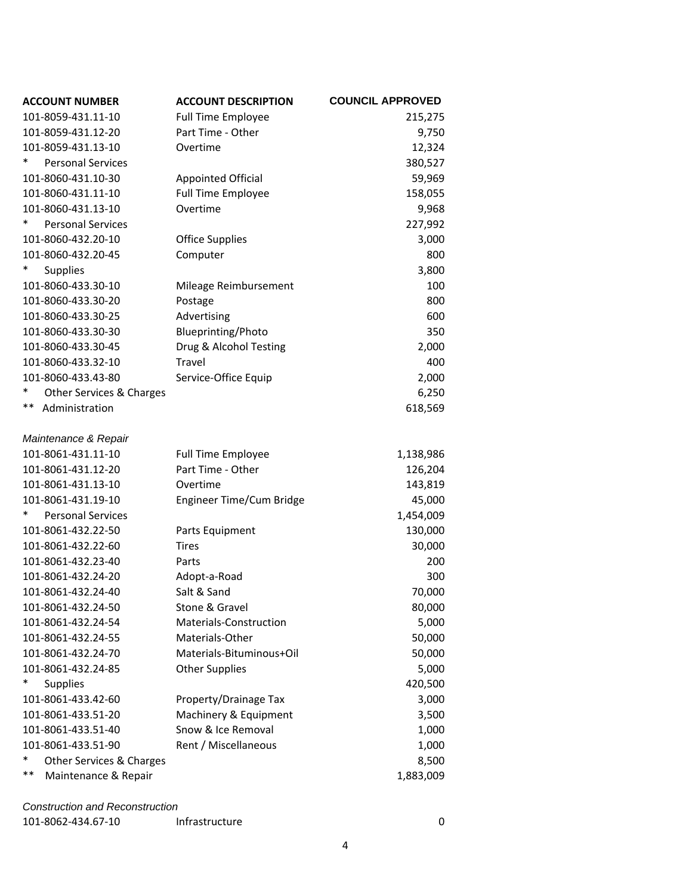| <b>ACCOUNT NUMBER</b>              | <b>ACCOUNT DESCRIPTION</b> | <b>COUNCIL APPROVED</b> |
|------------------------------------|----------------------------|-------------------------|
| 101-8059-431.11-10                 | <b>Full Time Employee</b>  | 215,275                 |
| 101-8059-431.12-20                 | Part Time - Other          | 9,750                   |
| 101-8059-431.13-10                 | Overtime                   | 12,324                  |
| *<br><b>Personal Services</b>      |                            | 380,527                 |
| 101-8060-431.10-30                 | <b>Appointed Official</b>  | 59,969                  |
| 101-8060-431.11-10                 | <b>Full Time Employee</b>  | 158,055                 |
| 101-8060-431.13-10                 | Overtime                   | 9,968                   |
| ∗<br><b>Personal Services</b>      |                            | 227,992                 |
| 101-8060-432.20-10                 | <b>Office Supplies</b>     | 3,000                   |
| 101-8060-432.20-45                 | Computer                   | 800                     |
| *<br><b>Supplies</b>               |                            | 3,800                   |
| 101-8060-433.30-10                 | Mileage Reimbursement      | 100                     |
| 101-8060-433.30-20                 | Postage                    | 800                     |
| 101-8060-433.30-25                 | Advertising                | 600                     |
| 101-8060-433.30-30                 | <b>Blueprinting/Photo</b>  | 350                     |
| 101-8060-433.30-45                 | Drug & Alcohol Testing     | 2,000                   |
| 101-8060-433.32-10                 | Travel                     | 400                     |
| 101-8060-433.43-80                 | Service-Office Equip       | 2,000                   |
| *<br>Other Services & Charges      |                            | 6,250                   |
| $***$<br>Administration            |                            | 618,569                 |
|                                    |                            |                         |
| Maintenance & Repair               |                            |                         |
| 101-8061-431.11-10                 | <b>Full Time Employee</b>  | 1,138,986               |
| 101-8061-431.12-20                 | Part Time - Other          | 126,204                 |
| 101-8061-431.13-10                 | Overtime                   | 143,819                 |
| 101-8061-431.19-10                 | Engineer Time/Cum Bridge   | 45,000                  |
| ∗<br><b>Personal Services</b>      |                            | 1,454,009               |
| 101-8061-432.22-50                 | Parts Equipment            | 130,000                 |
| 101-8061-432.22-60                 | <b>Tires</b>               | 30,000                  |
| 101-8061-432.23-40                 | Parts                      | 200                     |
| 101-8061-432.24-20                 | Adopt-a-Road               | 300                     |
| 101-8061-432.24-40                 | Salt & Sand                | 70,000                  |
| 101-8061-432.24-50                 | Stone & Gravel             | 80,000                  |
| 101-8061-432.24-54                 | Materials-Construction     | 5,000                   |
| 101-8061-432.24-55                 | Materials-Other            | 50,000                  |
| 101-8061-432.24-70                 | Materials-Bituminous+Oil   | 50,000                  |
| 101-8061-432.24-85                 | <b>Other Supplies</b>      | 5,000                   |
| *<br><b>Supplies</b>               |                            | 420,500                 |
| 101-8061-433.42-60                 | Property/Drainage Tax      | 3,000                   |
| 101-8061-433.51-20                 | Machinery & Equipment      | 3,500                   |
| 101-8061-433.51-40                 | Snow & Ice Removal         | 1,000                   |
| 101-8061-433.51-90                 | Rent / Miscellaneous       | 1,000                   |
| $\ast$<br>Other Services & Charges |                            | 8,500                   |
| $***$<br>Maintenance & Repair      |                            | 1,883,009               |
|                                    |                            |                         |

## *Construction and Reconstruction*

| 101-8062-434.67-10<br>Infrastructure |  |
|--------------------------------------|--|
|--------------------------------------|--|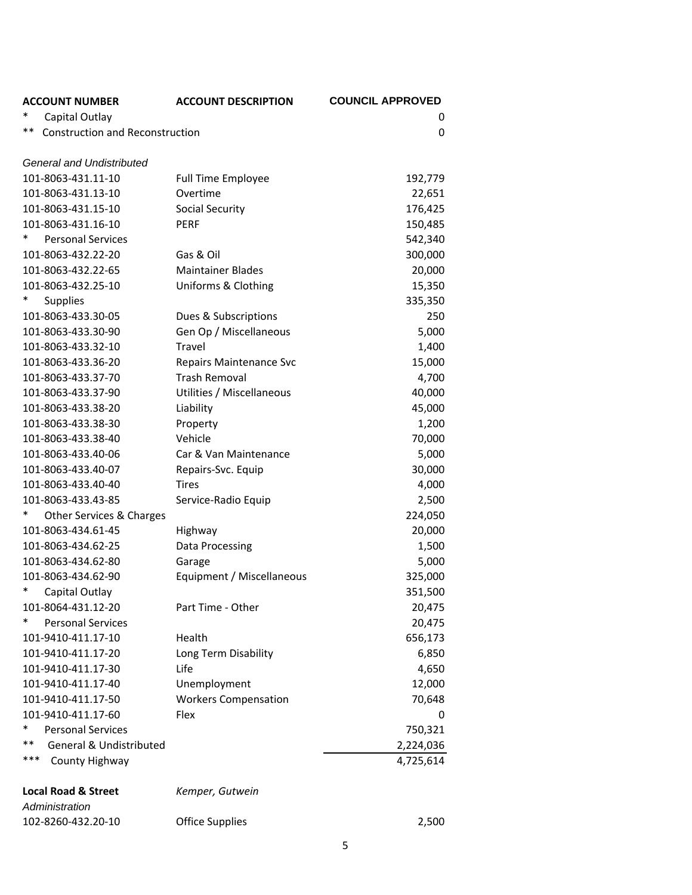| <b>ACCOUNT NUMBER</b>                        | <b>ACCOUNT DESCRIPTION</b>  | <b>COUNCIL APPROVED</b> |
|----------------------------------------------|-----------------------------|-------------------------|
| Capital Outlay                               |                             | 0                       |
| **<br><b>Construction and Reconstruction</b> |                             | 0                       |
| <b>General and Undistributed</b>             |                             |                         |
| 101-8063-431.11-10                           | <b>Full Time Employee</b>   | 192,779                 |
| 101-8063-431.13-10                           | Overtime                    | 22,651                  |
| 101-8063-431.15-10                           | Social Security             | 176,425                 |
| 101-8063-431.16-10                           | <b>PERF</b>                 | 150,485                 |
| $\ast$<br><b>Personal Services</b>           |                             | 542,340                 |
| 101-8063-432.22-20                           | Gas & Oil                   | 300,000                 |
| 101-8063-432.22-65                           | <b>Maintainer Blades</b>    | 20,000                  |
| 101-8063-432.25-10                           | Uniforms & Clothing         | 15,350                  |
| *<br><b>Supplies</b>                         |                             | 335,350                 |
| 101-8063-433.30-05                           | Dues & Subscriptions        | 250                     |
| 101-8063-433.30-90                           | Gen Op / Miscellaneous      | 5,000                   |
| 101-8063-433.32-10                           | Travel                      | 1,400                   |
| 101-8063-433.36-20                           | Repairs Maintenance Svc     | 15,000                  |
| 101-8063-433.37-70                           | <b>Trash Removal</b>        | 4,700                   |
| 101-8063-433.37-90                           | Utilities / Miscellaneous   | 40,000                  |
| 101-8063-433.38-20                           | Liability                   | 45,000                  |
| 101-8063-433.38-30                           | Property                    | 1,200                   |
| 101-8063-433.38-40                           | Vehicle                     | 70,000                  |
| 101-8063-433.40-06                           | Car & Van Maintenance       | 5,000                   |
| 101-8063-433.40-07                           | Repairs-Svc. Equip          | 30,000                  |
| 101-8063-433.40-40                           | Tires                       | 4,000                   |
| 101-8063-433.43-85                           | Service-Radio Equip         | 2,500                   |
| *<br>Other Services & Charges                |                             | 224,050                 |
| 101-8063-434.61-45                           | Highway                     | 20,000                  |
| 101-8063-434.62-25                           | Data Processing             | 1,500                   |
| 101-8063-434.62-80                           | Garage                      | 5,000                   |
| 101-8063-434.62-90                           | Equipment / Miscellaneous   | 325,000                 |
| $\ast$<br>Capital Outlay                     |                             | 351,500                 |
| 101-8064-431.12-20                           | Part Time - Other           | 20,475                  |
| *<br><b>Personal Services</b>                |                             | 20,475                  |
| 101-9410-411.17-10                           | Health                      | 656,173                 |
| 101-9410-411.17-20                           | Long Term Disability        | 6,850                   |
| 101-9410-411.17-30                           | Life                        | 4,650                   |
| 101-9410-411.17-40                           | Unemployment                | 12,000                  |
| 101-9410-411.17-50                           | <b>Workers Compensation</b> | 70,648                  |
| 101-9410-411.17-60                           | Flex                        | 0                       |
| *<br><b>Personal Services</b>                |                             | 750,321                 |
| $***$<br><b>General &amp; Undistributed</b>  |                             | 2,224,036               |
| ***<br>County Highway                        |                             | 4,725,614               |
|                                              |                             |                         |
| <b>Local Road &amp; Street</b>               | Kemper, Gutwein             |                         |

## *Administration* ‐8260‐432.20‐10 Office Supplies 2,500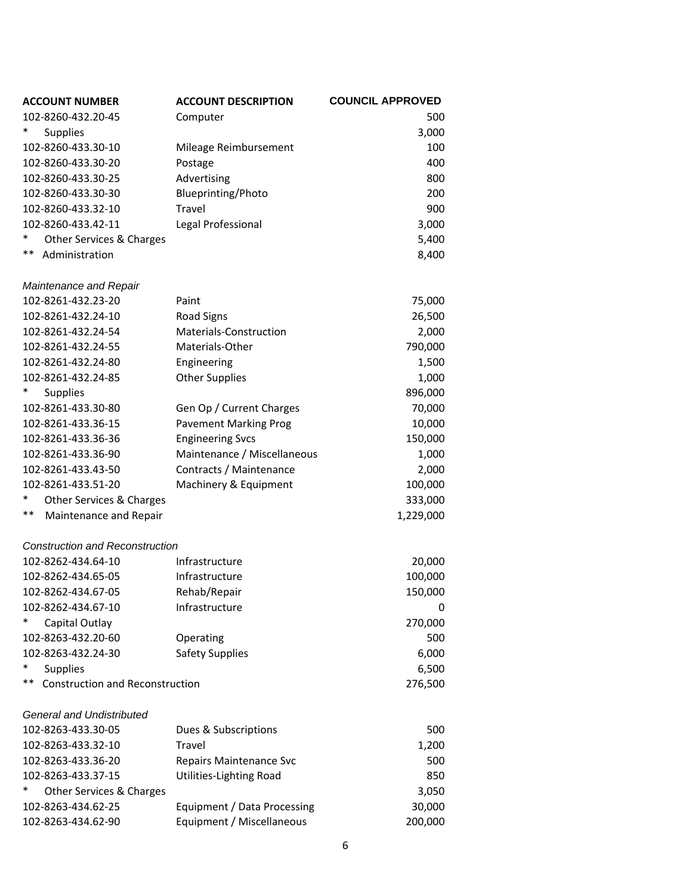| <b>ACCOUNT NUMBER</b>                        | <b>ACCOUNT DESCRIPTION</b>   | <b>COUNCIL APPROVED</b> |
|----------------------------------------------|------------------------------|-------------------------|
| 102-8260-432.20-45                           | Computer                     | 500                     |
| *<br>Supplies                                |                              | 3,000                   |
| 102-8260-433.30-10                           | Mileage Reimbursement        | 100                     |
| 102-8260-433.30-20                           | Postage                      | 400                     |
| 102-8260-433.30-25                           | Advertising                  | 800                     |
| 102-8260-433.30-30                           | Blueprinting/Photo           | 200                     |
| 102-8260-433.32-10                           | Travel                       | 900                     |
| 102-8260-433.42-11                           | Legal Professional           | 3,000                   |
| Other Services & Charges                     |                              | 5,400                   |
| **<br>Administration                         |                              | 8,400                   |
|                                              |                              |                         |
| Maintenance and Repair                       |                              |                         |
| 102-8261-432.23-20                           | Paint                        | 75,000                  |
| 102-8261-432.24-10                           | <b>Road Signs</b>            | 26,500                  |
| 102-8261-432.24-54                           | Materials-Construction       | 2,000                   |
| 102-8261-432.24-55                           | Materials-Other              | 790,000                 |
| 102-8261-432.24-80                           | Engineering                  | 1,500                   |
| 102-8261-432.24-85                           | <b>Other Supplies</b>        | 1,000                   |
| <b>Supplies</b>                              |                              | 896,000                 |
| 102-8261-433.30-80                           | Gen Op / Current Charges     | 70,000                  |
| 102-8261-433.36-15                           | <b>Pavement Marking Prog</b> | 10,000                  |
| 102-8261-433.36-36                           | <b>Engineering Svcs</b>      | 150,000                 |
| 102-8261-433.36-90                           | Maintenance / Miscellaneous  | 1,000                   |
| 102-8261-433.43-50                           | Contracts / Maintenance      | 2,000                   |
| 102-8261-433.51-20                           | Machinery & Equipment        | 100,000                 |
| *<br>Other Services & Charges                |                              | 333,000                 |
| **<br>Maintenance and Repair                 |                              | 1,229,000               |
|                                              |                              |                         |
| <b>Construction and Reconstruction</b>       |                              |                         |
| 102-8262-434.64-10                           | Infrastructure               | 20,000                  |
| 102-8262-434.65-05                           | Infrastructure               | 100,000                 |
| 102-8262-434.67-05                           | Rehab/Repair                 | 150,000                 |
| 102-8262-434.67-10                           | Infrastructure               | 0                       |
| Capital Outlay                               |                              | 270,000                 |
| 102-8263-432.20-60                           | Operating                    | 500                     |
| 102-8263-432.24-30                           | <b>Safety Supplies</b>       | 6,000                   |
| *<br><b>Supplies</b>                         |                              | 6,500                   |
| **<br><b>Construction and Reconstruction</b> |                              | 276,500                 |
|                                              |                              |                         |
| <b>General and Undistributed</b>             |                              |                         |
| 102-8263-433.30-05                           | Dues & Subscriptions         | 500                     |
| 102-8263-433.32-10                           | <b>Travel</b>                | 1,200                   |
| 102-8263-433.36-20                           | Repairs Maintenance Svc      | 500                     |
| 102-8263-433.37-15                           | Utilities-Lighting Road      | 850                     |
| *<br>Other Services & Charges                |                              | 3,050                   |
| 102-8263-434.62-25                           | Equipment / Data Processing  | 30,000                  |
| 102-8263-434.62-90                           | Equipment / Miscellaneous    | 200,000                 |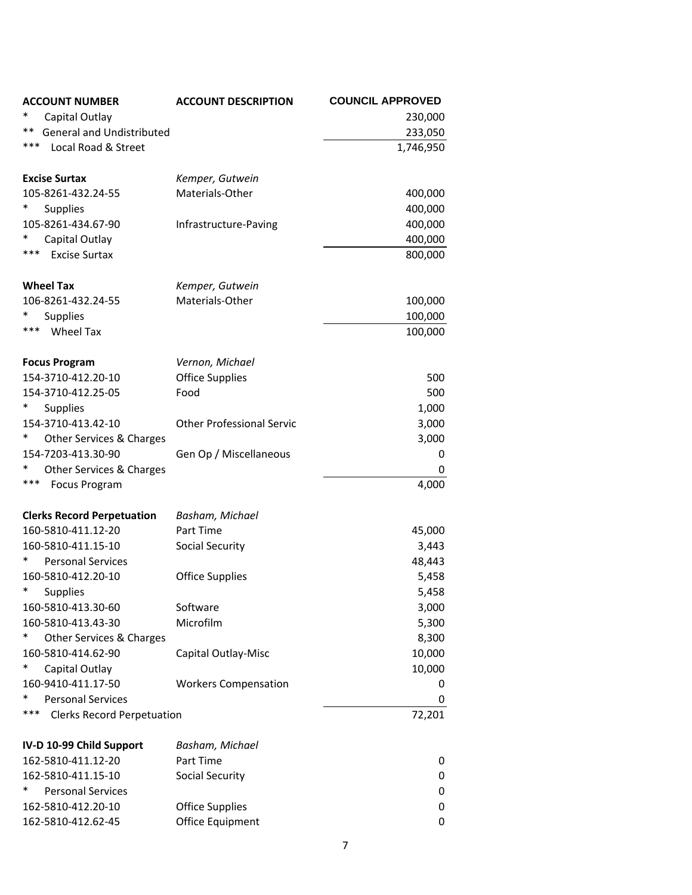| <b>ACCOUNT NUMBER</b>                    | <b>ACCOUNT DESCRIPTION</b>       | <b>COUNCIL APPROVED</b> |
|------------------------------------------|----------------------------------|-------------------------|
| Capital Outlay                           |                                  | 230,000                 |
| <b>General and Undistributed</b><br>**   |                                  | 233,050                 |
| ***<br>Local Road & Street               |                                  | 1,746,950               |
|                                          |                                  |                         |
| <b>Excise Surtax</b>                     | Kemper, Gutwein                  |                         |
| 105-8261-432.24-55                       | Materials-Other                  | 400,000                 |
| <b>Supplies</b>                          |                                  | 400,000                 |
| 105-8261-434.67-90                       | Infrastructure-Paving            | 400,000                 |
| Capital Outlay                           |                                  | 400,000                 |
| ***<br><b>Excise Surtax</b>              |                                  | 800,000                 |
|                                          |                                  |                         |
| <b>Wheel Tax</b>                         | Kemper, Gutwein                  |                         |
| 106-8261-432.24-55                       | Materials-Other                  | 100,000                 |
| <b>Supplies</b>                          |                                  | 100,000                 |
| ***<br><b>Wheel Tax</b>                  |                                  | 100,000                 |
|                                          |                                  |                         |
| <b>Focus Program</b>                     | Vernon, Michael                  |                         |
| 154-3710-412.20-10                       | <b>Office Supplies</b>           | 500                     |
| 154-3710-412.25-05                       | Food                             | 500                     |
| <b>Supplies</b>                          |                                  | 1,000                   |
| 154-3710-413.42-10                       | <b>Other Professional Servic</b> | 3,000                   |
| ∗<br>Other Services & Charges            |                                  | 3,000                   |
| 154-7203-413.30-90                       | Gen Op / Miscellaneous           | 0                       |
| Other Services & Charges                 |                                  | 0                       |
| ***<br><b>Focus Program</b>              |                                  | 4,000                   |
| <b>Clerks Record Perpetuation</b>        | Basham, Michael                  |                         |
| 160-5810-411.12-20                       | Part Time                        | 45,000                  |
| 160-5810-411.15-10                       | <b>Social Security</b>           | 3,443                   |
| *<br><b>Personal Services</b>            |                                  | 48,443                  |
| 160-5810-412.20-10                       | <b>Office Supplies</b>           | 5,458                   |
| *<br><b>Supplies</b>                     |                                  | 5,458                   |
| 160-5810-413.30-60                       | Software                         | 3,000                   |
| 160-5810-413.43-30                       | Microfilm                        | 5,300                   |
| Other Services & Charges                 |                                  | 8,300                   |
| 160-5810-414.62-90                       | Capital Outlay-Misc              | 10,000                  |
| *<br>Capital Outlay                      |                                  | 10,000                  |
| 160-9410-411.17-50                       | <b>Workers Compensation</b>      | 0                       |
| <b>Personal Services</b>                 |                                  | 0                       |
| ***<br><b>Clerks Record Perpetuation</b> |                                  | 72,201                  |
|                                          |                                  |                         |
| IV-D 10-99 Child Support                 | Basham, Michael                  |                         |
| 162-5810-411.12-20                       | Part Time                        | 0                       |
| 162-5810-411.15-10                       | <b>Social Security</b>           | 0                       |
| *<br><b>Personal Services</b>            |                                  | 0                       |
| 162-5810-412.20-10                       | <b>Office Supplies</b>           | 0                       |
| 162-5810-412.62-45                       | Office Equipment                 | 0                       |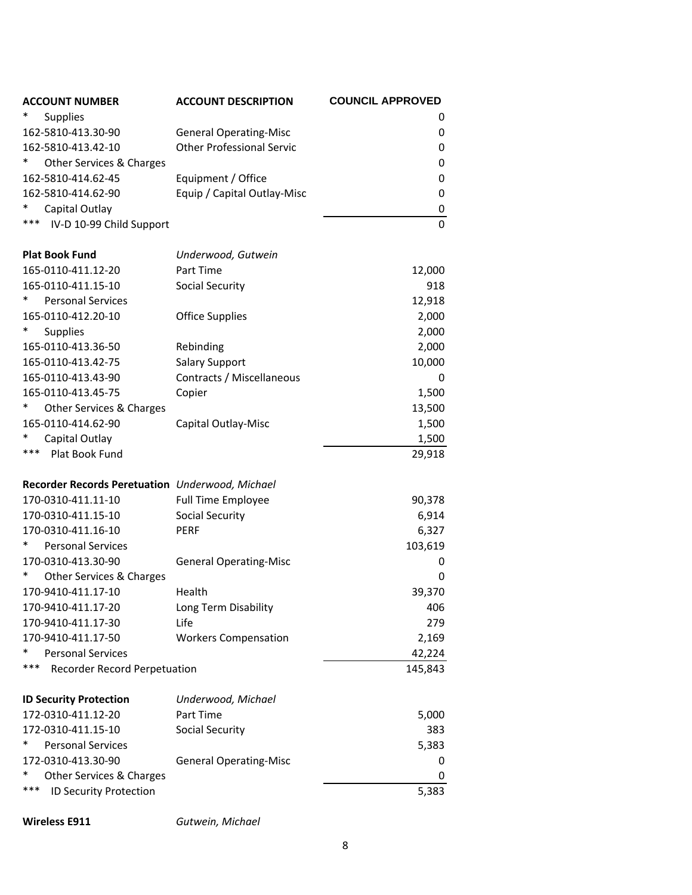| <b>ACCOUNT NUMBER</b>                           | <b>ACCOUNT DESCRIPTION</b>       | <b>COUNCIL APPROVED</b> |
|-------------------------------------------------|----------------------------------|-------------------------|
| <b>Supplies</b>                                 |                                  | 0                       |
| 162-5810-413.30-90                              | <b>General Operating-Misc</b>    | 0                       |
| 162-5810-413.42-10                              | <b>Other Professional Servic</b> | 0                       |
| *<br>Other Services & Charges                   |                                  | 0                       |
| 162-5810-414.62-45                              | Equipment / Office               | 0                       |
| 162-5810-414.62-90                              | Equip / Capital Outlay-Misc      | 0                       |
| Capital Outlay                                  |                                  | 0                       |
| ***<br>IV-D 10-99 Child Support                 |                                  | $\Omega$                |
| <b>Plat Book Fund</b>                           | Underwood, Gutwein               |                         |
| 165-0110-411.12-20                              | Part Time                        | 12,000                  |
| 165-0110-411.15-10                              | Social Security                  | 918                     |
| <b>Personal Services</b>                        |                                  | 12,918                  |
| 165-0110-412.20-10                              | <b>Office Supplies</b>           | 2,000                   |
| ∗<br>Supplies                                   |                                  | 2,000                   |
| 165-0110-413.36-50                              | Rebinding                        | 2,000                   |
| 165-0110-413.42-75                              | <b>Salary Support</b>            | 10,000                  |
| 165-0110-413.43-90                              | Contracts / Miscellaneous        | 0                       |
| 165-0110-413.45-75                              | Copier                           | 1,500                   |
| Other Services & Charges                        |                                  | 13,500                  |
| 165-0110-414.62-90                              | Capital Outlay-Misc              | 1,500                   |
| Capital Outlay                                  |                                  | 1,500                   |
| ***<br>Plat Book Fund                           |                                  | 29,918                  |
| Recorder Records Peretuation Underwood, Michael |                                  |                         |
| 170-0310-411.11-10                              | <b>Full Time Employee</b>        | 90,378                  |
| 170-0310-411.15-10                              | Social Security                  | 6,914                   |
| 170-0310-411.16-10                              | <b>PERF</b>                      | 6,327                   |
| <b>Personal Services</b>                        |                                  | 103,619                 |
| 170-0310-413.30-90                              | <b>General Operating-Misc</b>    | 0                       |
| Other Services & Charges                        |                                  | 0                       |
| 170-9410-411.17-10                              | Health                           | 39,370                  |
| 170-9410-411.17-20                              | Long Term Disability             | 406                     |
| 170-9410-411.17-30                              | Life                             | 279                     |
| 170-9410-411.17-50                              | <b>Workers Compensation</b>      | 2,169                   |
| *<br><b>Personal Services</b>                   |                                  | 42,224                  |
| ***<br>Recorder Record Perpetuation             |                                  | 145,843                 |
| <b>ID Security Protection</b>                   | Underwood, Michael               |                         |
| 172-0310-411.12-20                              | Part Time                        | 5,000                   |
| 172-0310-411.15-10                              | <b>Social Security</b>           | 383                     |
| *<br><b>Personal Services</b>                   |                                  | 5,383                   |
| 172-0310-413.30-90                              | <b>General Operating-Misc</b>    | 0                       |
| *<br>Other Services & Charges                   |                                  | 0                       |
| ***<br>ID Security Protection                   |                                  | 5,383                   |

**Wireless E911** *Gutwein, Michael*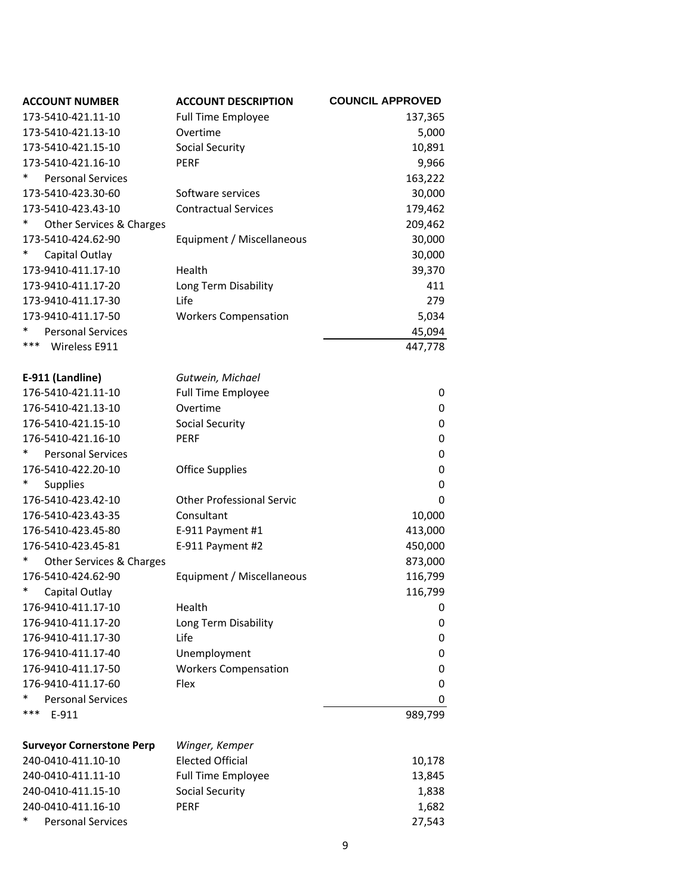| <b>ACCOUNT NUMBER</b>              | <b>ACCOUNT DESCRIPTION</b>       | <b>COUNCIL APPROVED</b> |
|------------------------------------|----------------------------------|-------------------------|
| 173-5410-421.11-10                 | <b>Full Time Employee</b>        | 137,365                 |
| 173-5410-421.13-10                 | Overtime                         | 5,000                   |
| 173-5410-421.15-10                 | Social Security                  | 10,891                  |
| 173-5410-421.16-10                 | <b>PERF</b>                      | 9,966                   |
| *<br><b>Personal Services</b>      |                                  | 163,222                 |
| 173-5410-423.30-60                 | Software services                | 30,000                  |
| 173-5410-423.43-10                 | <b>Contractual Services</b>      | 179,462                 |
| $\ast$<br>Other Services & Charges |                                  | 209,462                 |
| 173-5410-424.62-90                 | Equipment / Miscellaneous        | 30,000                  |
| *<br>Capital Outlay                |                                  | 30,000                  |
| 173-9410-411.17-10                 | Health                           | 39,370                  |
| 173-9410-411.17-20                 | Long Term Disability             | 411                     |
| 173-9410-411.17-30                 | Life                             | 279                     |
| 173-9410-411.17-50                 | <b>Workers Compensation</b>      | 5,034                   |
| *<br><b>Personal Services</b>      |                                  | 45,094                  |
| ***<br>Wireless E911               |                                  | 447,778                 |
|                                    |                                  |                         |
| E-911 (Landline)                   | Gutwein, Michael                 |                         |
| 176-5410-421.11-10                 | <b>Full Time Employee</b>        | 0                       |
| 176-5410-421.13-10                 | Overtime                         | 0                       |
| 176-5410-421.15-10                 | <b>Social Security</b>           | 0                       |
| 176-5410-421.16-10                 | <b>PERF</b>                      | 0                       |
| *<br><b>Personal Services</b>      |                                  | 0                       |
| 176-5410-422.20-10                 | <b>Office Supplies</b>           | $\mathbf 0$             |
| <b>Supplies</b>                    |                                  | 0                       |
| 176-5410-423.42-10                 | <b>Other Professional Servic</b> | 0                       |
| 176-5410-423.43-35                 | Consultant                       | 10,000                  |
| 176-5410-423.45-80                 | E-911 Payment #1                 | 413,000                 |
| 176-5410-423.45-81                 | E-911 Payment #2                 | 450,000                 |
| *<br>Other Services & Charges      |                                  | 873,000                 |
| 176-5410-424.62-90                 | Equipment / Miscellaneous        | 116,799                 |
| *<br>Capital Outlay                |                                  | 116,799                 |
| 176-9410-411.17-10                 | Health                           | 0                       |
| 176-9410-411.17-20                 | Long Term Disability             | 0                       |
| 176-9410-411.17-30                 | Life                             | 0                       |
| 176-9410-411.17-40                 | Unemployment                     | 0                       |
| 176-9410-411.17-50                 | <b>Workers Compensation</b>      | 0                       |
| 176-9410-411.17-60                 | Flex                             | 0                       |
| *<br><b>Personal Services</b>      |                                  | 0                       |
| ***<br>E-911                       |                                  | 989,799                 |
|                                    |                                  |                         |
| <b>Surveyor Cornerstone Perp</b>   | Winger, Kemper                   |                         |
| 240-0410-411.10-10                 | <b>Elected Official</b>          | 10,178                  |
| 240-0410-411.11-10                 | <b>Full Time Employee</b>        | 13,845                  |
| 240-0410-411.15-10                 | <b>Social Security</b>           | 1,838                   |
| 240-0410-411.16-10                 | PERF                             | 1,682                   |
| *<br><b>Personal Services</b>      |                                  | 27,543                  |
|                                    |                                  |                         |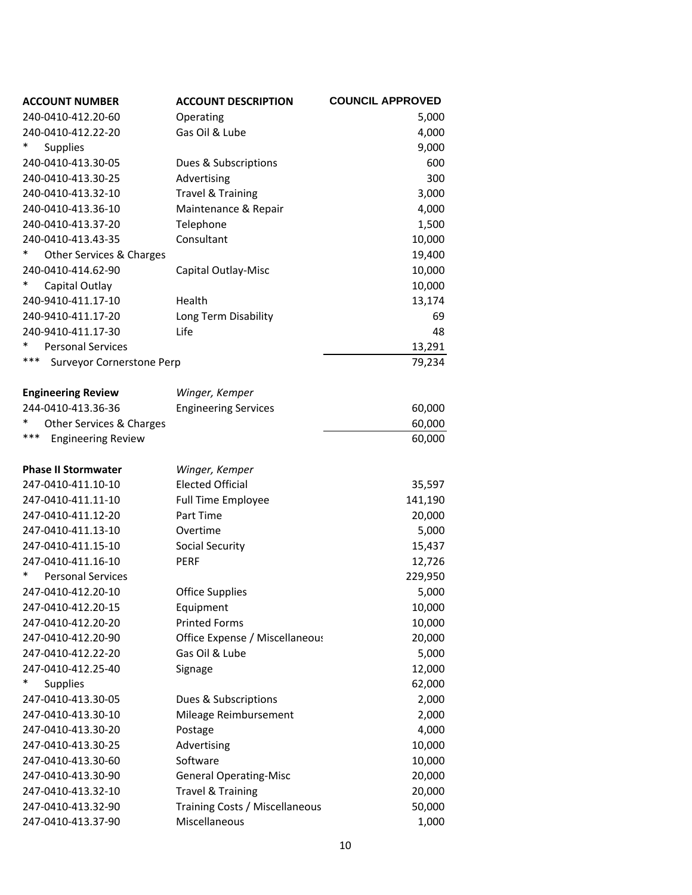| <b>ACCOUNT NUMBER</b>            | <b>ACCOUNT DESCRIPTION</b>     | <b>COUNCIL APPROVED</b> |
|----------------------------------|--------------------------------|-------------------------|
| 240-0410-412.20-60               | Operating                      | 5,000                   |
| 240-0410-412.22-20               | Gas Oil & Lube                 | 4,000                   |
| <b>Supplies</b>                  |                                | 9,000                   |
| 240-0410-413.30-05               | Dues & Subscriptions           | 600                     |
| 240-0410-413.30-25               | Advertising                    | 300                     |
| 240-0410-413.32-10               | <b>Travel &amp; Training</b>   | 3,000                   |
| 240-0410-413.36-10               | Maintenance & Repair           | 4,000                   |
| 240-0410-413.37-20               | Telephone                      | 1,500                   |
| 240-0410-413.43-35               | Consultant                     | 10,000                  |
| Other Services & Charges         |                                | 19,400                  |
| 240-0410-414.62-90               | Capital Outlay-Misc            | 10,000                  |
| Capital Outlay                   |                                | 10,000                  |
| 240-9410-411.17-10               | Health                         | 13,174                  |
| 240-9410-411.17-20               | Long Term Disability           | 69                      |
| 240-9410-411.17-30               | Life                           | 48                      |
| *<br><b>Personal Services</b>    |                                | 13,291                  |
| ***<br>Surveyor Cornerstone Perp |                                | 79,234                  |
|                                  |                                |                         |
| <b>Engineering Review</b>        | Winger, Kemper                 |                         |
| 244-0410-413.36-36               | <b>Engineering Services</b>    | 60,000                  |
| *<br>Other Services & Charges    |                                | 60,000                  |
| ***<br><b>Engineering Review</b> |                                | 60,000                  |
|                                  |                                |                         |
| <b>Phase II Stormwater</b>       | Winger, Kemper                 |                         |
| 247-0410-411.10-10               | <b>Elected Official</b>        | 35,597                  |
| 247-0410-411.11-10               | <b>Full Time Employee</b>      | 141,190                 |
| 247-0410-411.12-20               | Part Time                      | 20,000                  |
| 247-0410-411.13-10               | Overtime                       | 5,000                   |
| 247-0410-411.15-10               | Social Security                | 15,437                  |
| 247-0410-411.16-10               | <b>PERF</b>                    | 12,726                  |
| <b>Personal Services</b>         |                                | 229,950                 |
| 247-0410-412.20-10               | <b>Office Supplies</b>         | 5,000                   |
| 247-0410-412.20-15               | Equipment                      | 10,000                  |
| 247-0410-412.20-20               | <b>Printed Forms</b>           | 10,000                  |
| 247-0410-412.20-90               | Office Expense / Miscellaneous | 20,000                  |
| 247-0410-412.22-20               | Gas Oil & Lube                 | 5,000                   |
| 247-0410-412.25-40               | Signage                        | 12,000                  |
| <b>Supplies</b>                  |                                | 62,000                  |
| 247-0410-413.30-05               | Dues & Subscriptions           | 2,000                   |
| 247-0410-413.30-10               | Mileage Reimbursement          | 2,000                   |
| 247-0410-413.30-20               | Postage                        | 4,000                   |
| 247-0410-413.30-25               | Advertising                    | 10,000                  |
| 247-0410-413.30-60               | Software                       | 10,000                  |
| 247-0410-413.30-90               | <b>General Operating-Misc</b>  | 20,000                  |
| 247-0410-413.32-10               | <b>Travel &amp; Training</b>   | 20,000                  |
| 247-0410-413.32-90               | Training Costs / Miscellaneous | 50,000                  |
| 247-0410-413.37-90               | Miscellaneous                  | 1,000                   |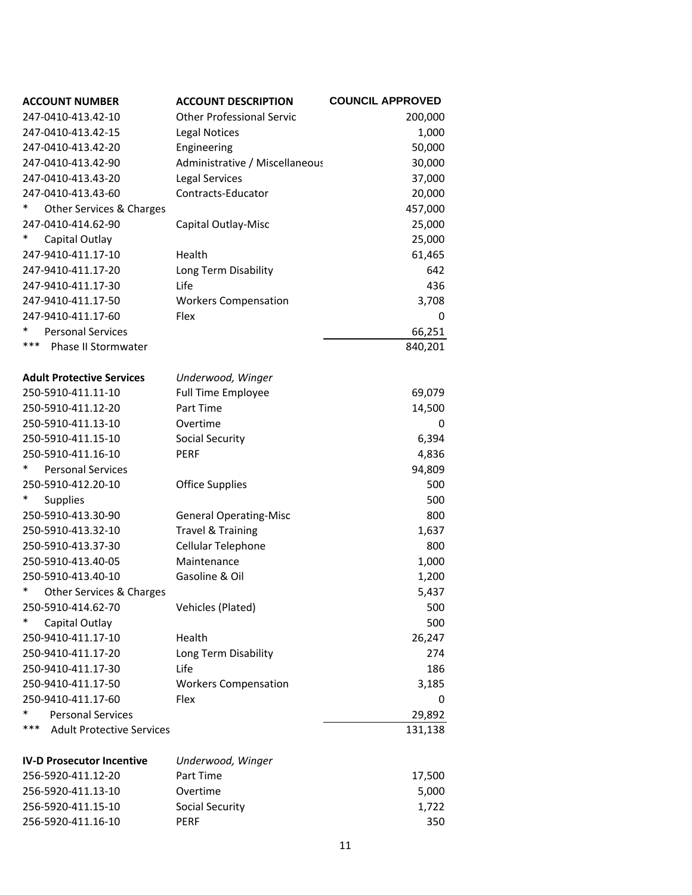| <b>ACCOUNT NUMBER</b>                   | <b>ACCOUNT DESCRIPTION</b>       | <b>COUNCIL APPROVED</b> |
|-----------------------------------------|----------------------------------|-------------------------|
| 247-0410-413.42-10                      | <b>Other Professional Servic</b> | 200,000                 |
| 247-0410-413.42-15                      | <b>Legal Notices</b>             | 1,000                   |
| 247-0410-413.42-20                      | Engineering                      | 50,000                  |
| 247-0410-413.42-90                      | Administrative / Miscellaneous   | 30,000                  |
| 247-0410-413.43-20                      | <b>Legal Services</b>            | 37,000                  |
| 247-0410-413.43-60                      | Contracts-Educator               | 20,000                  |
| Other Services & Charges                |                                  | 457,000                 |
| 247-0410-414.62-90                      | Capital Outlay-Misc              | 25,000                  |
| ∗<br>Capital Outlay                     |                                  | 25,000                  |
| 247-9410-411.17-10                      | Health                           | 61,465                  |
| 247-9410-411.17-20                      | Long Term Disability             | 642                     |
| 247-9410-411.17-30                      | Life                             | 436                     |
| 247-9410-411.17-50                      | <b>Workers Compensation</b>      | 3,708                   |
| 247-9410-411.17-60                      | Flex                             | 0                       |
| <b>Personal Services</b><br>∗           |                                  | 66,251                  |
| ***<br>Phase II Stormwater              |                                  | 840,201                 |
|                                         |                                  |                         |
| <b>Adult Protective Services</b>        | Underwood, Winger                |                         |
| 250-5910-411.11-10                      | <b>Full Time Employee</b>        | 69,079                  |
| 250-5910-411.12-20                      | Part Time                        | 14,500                  |
| 250-5910-411.13-10                      | Overtime                         | 0                       |
| 250-5910-411.15-10                      | Social Security                  | 6,394                   |
| 250-5910-411.16-10                      | <b>PERF</b>                      | 4,836                   |
| *<br><b>Personal Services</b>           |                                  | 94,809                  |
| 250-5910-412.20-10                      | <b>Office Supplies</b>           | 500                     |
| <b>Supplies</b>                         |                                  | 500                     |
| 250-5910-413.30-90                      | <b>General Operating-Misc</b>    | 800                     |
| 250-5910-413.32-10                      | <b>Travel &amp; Training</b>     | 1,637                   |
| 250-5910-413.37-30                      | Cellular Telephone               | 800                     |
| 250-5910-413.40-05                      | Maintenance                      | 1,000                   |
| 250-5910-413.40-10                      | Gasoline & Oil                   | 1,200                   |
| *<br>Other Services & Charges           |                                  | 5,437                   |
| 250-5910-414.62-70                      | Vehicles (Plated)                | 500                     |
| ∗<br>Capital Outlay                     |                                  | 500                     |
| 250-9410-411.17-10                      | Health                           | 26,247                  |
| 250-9410-411.17-20                      | Long Term Disability             | 274                     |
| 250-9410-411.17-30                      | Life                             | 186                     |
| 250-9410-411.17-50                      | <b>Workers Compensation</b>      | 3,185                   |
| 250-9410-411.17-60                      | Flex                             | 0                       |
| *<br><b>Personal Services</b>           |                                  | 29,892                  |
| ***<br><b>Adult Protective Services</b> |                                  | 131,138                 |
| <b>IV-D Prosecutor Incentive</b>        | Underwood, Winger                |                         |
| 256-5920-411.12-20                      | Part Time                        | 17,500                  |
| 256-5920-411.13-10                      | Overtime                         | 5,000                   |
| 256-5920-411.15-10                      | <b>Social Security</b>           | 1,722                   |
| 256-5920-411.16-10                      |                                  |                         |
|                                         | <b>PERF</b>                      | 350                     |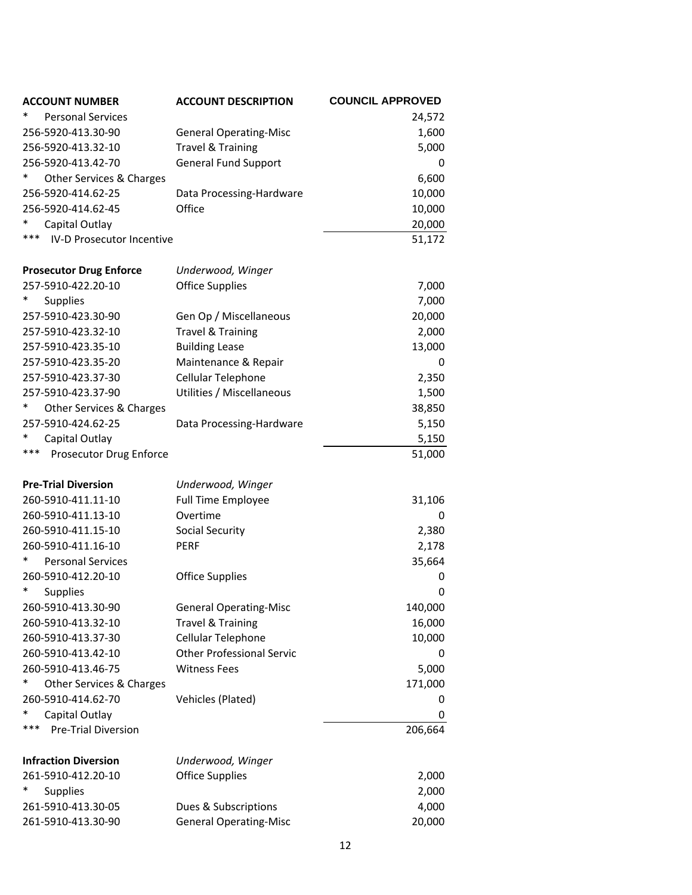| <b>ACCOUNT NUMBER</b>            | <b>ACCOUNT DESCRIPTION</b>       | <b>COUNCIL APPROVED</b> |
|----------------------------------|----------------------------------|-------------------------|
| <b>Personal Services</b>         |                                  | 24,572                  |
| 256-5920-413.30-90               | <b>General Operating-Misc</b>    | 1,600                   |
| 256-5920-413.32-10               | <b>Travel &amp; Training</b>     | 5,000                   |
| 256-5920-413.42-70               | <b>General Fund Support</b>      | 0                       |
| Other Services & Charges         |                                  | 6,600                   |
| 256-5920-414.62-25               | Data Processing-Hardware         | 10,000                  |
| 256-5920-414.62-45               | Office                           | 10,000                  |
| Capital Outlay                   |                                  | 20,000                  |
| ***<br>IV-D Prosecutor Incentive |                                  | 51,172                  |
| <b>Prosecutor Drug Enforce</b>   | Underwood, Winger                |                         |
| 257-5910-422.20-10               | <b>Office Supplies</b>           | 7,000                   |
| <b>Supplies</b>                  |                                  | 7,000                   |
| 257-5910-423.30-90               | Gen Op / Miscellaneous           | 20,000                  |
| 257-5910-423.32-10               | <b>Travel &amp; Training</b>     | 2,000                   |
| 257-5910-423.35-10               | <b>Building Lease</b>            | 13,000                  |
| 257-5910-423.35-20               | Maintenance & Repair             | 0                       |
| 257-5910-423.37-30               | Cellular Telephone               | 2,350                   |
| 257-5910-423.37-90               | Utilities / Miscellaneous        | 1,500                   |
| Other Services & Charges         |                                  | 38,850                  |
| 257-5910-424.62-25               | Data Processing-Hardware         | 5,150                   |
| Capital Outlay                   |                                  | 5,150                   |
| ***<br>Prosecutor Drug Enforce   |                                  | 51,000                  |
| <b>Pre-Trial Diversion</b>       | Underwood, Winger                |                         |
| 260-5910-411.11-10               | Full Time Employee               | 31,106                  |
| 260-5910-411.13-10               | Overtime                         | 0                       |
| 260-5910-411.15-10               | <b>Social Security</b>           | 2,380                   |
| 260-5910-411.16-10               | <b>PERF</b>                      | 2,178                   |
| ∗<br><b>Personal Services</b>    |                                  | 35,664                  |
| 260-5910-412.20-10               | <b>Office Supplies</b>           | 0                       |
| ∗<br>Supplies                    |                                  | 0                       |
| 260-5910-413.30-90               | <b>General Operating-Misc</b>    | 140,000                 |
| 260-5910-413.32-10               | <b>Travel &amp; Training</b>     | 16,000                  |
| 260-5910-413.37-30               | Cellular Telephone               | 10,000                  |
| 260-5910-413.42-10               | <b>Other Professional Servic</b> | 0                       |
| 260-5910-413.46-75               | <b>Witness Fees</b>              | 5,000                   |
| ∗<br>Other Services & Charges    |                                  | 171,000                 |
| 260-5910-414.62-70               | Vehicles (Plated)                | 0                       |
| Capital Outlay                   |                                  | 0                       |
| ***<br>Pre-Trial Diversion       |                                  | 206,664                 |
| <b>Infraction Diversion</b>      | Underwood, Winger                |                         |
| 261-5910-412.20-10               | <b>Office Supplies</b>           | 2,000                   |
| <b>Supplies</b>                  |                                  | 2,000                   |
| 261-5910-413.30-05               | Dues & Subscriptions             | 4,000                   |
| 261-5910-413.30-90               | <b>General Operating-Misc</b>    | 20,000                  |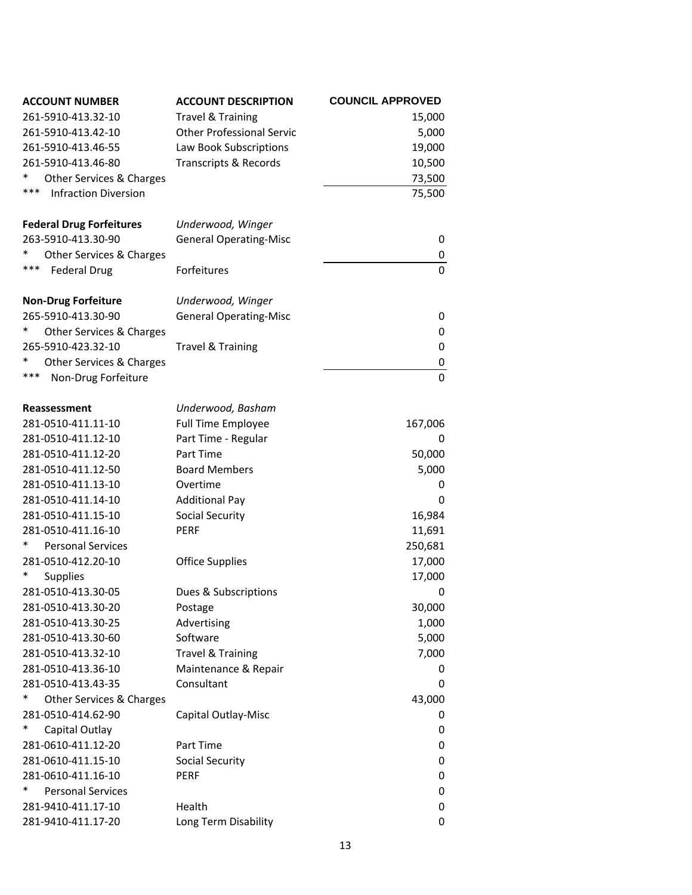| <b>ACCOUNT NUMBER</b>              | <b>ACCOUNT DESCRIPTION</b>       | <b>COUNCIL APPROVED</b> |
|------------------------------------|----------------------------------|-------------------------|
| 261-5910-413.32-10                 | <b>Travel &amp; Training</b>     | 15,000                  |
| 261-5910-413.42-10                 | <b>Other Professional Servic</b> | 5,000                   |
| 261-5910-413.46-55                 | Law Book Subscriptions           | 19,000                  |
| 261-5910-413.46-80                 | <b>Transcripts &amp; Records</b> | 10,500                  |
| *<br>Other Services & Charges      |                                  | 73,500                  |
| ***<br><b>Infraction Diversion</b> |                                  | 75,500                  |
|                                    |                                  |                         |
| <b>Federal Drug Forfeitures</b>    | Underwood, Winger                |                         |
| 263-5910-413.30-90                 | <b>General Operating-Misc</b>    | 0                       |
| Other Services & Charges           |                                  | 0                       |
| ***<br><b>Federal Drug</b>         | Forfeitures                      | $\Omega$                |
| <b>Non-Drug Forfeiture</b>         | Underwood, Winger                |                         |
| 265-5910-413.30-90                 | <b>General Operating-Misc</b>    | 0                       |
| $\ast$<br>Other Services & Charges |                                  | 0                       |
| 265-5910-423.32-10                 | <b>Travel &amp; Training</b>     | 0                       |
| Other Services & Charges           |                                  | 0                       |
| ***<br>Non-Drug Forfeiture         |                                  | $\mathbf 0$             |
|                                    |                                  |                         |
| <b>Reassessment</b>                | Underwood, Basham                |                         |
| 281-0510-411.11-10                 | <b>Full Time Employee</b>        | 167,006                 |
| 281-0510-411.12-10                 | Part Time - Regular              | 0                       |
| 281-0510-411.12-20                 | Part Time                        | 50,000                  |
| 281-0510-411.12-50                 | <b>Board Members</b>             | 5,000                   |
| 281-0510-411.13-10                 | Overtime                         | 0                       |
| 281-0510-411.14-10                 | <b>Additional Pay</b>            | 0                       |
| 281-0510-411.15-10                 | Social Security                  | 16,984                  |
| 281-0510-411.16-10                 | <b>PERF</b>                      | 11,691                  |
| <b>Personal Services</b><br>∗      |                                  | 250,681                 |
| 281-0510-412.20-10                 | <b>Office Supplies</b>           | 17,000                  |
| *<br><b>Supplies</b>               |                                  | 17,000                  |
| 281-0510-413.30-05                 | Dues & Subscriptions             | 0                       |
| 281-0510-413.30-20                 | Postage                          | 30,000                  |
| 281-0510-413.30-25                 | Advertising                      | 1,000                   |
| 281-0510-413.30-60                 | Software                         | 5,000                   |
| 281-0510-413.32-10                 | <b>Travel &amp; Training</b>     | 7,000                   |
| 281-0510-413.36-10                 | Maintenance & Repair             | 0                       |
| 281-0510-413.43-35                 | Consultant                       | 0                       |
| *<br>Other Services & Charges      |                                  | 43,000                  |
| 281-0510-414.62-90                 | Capital Outlay-Misc              | 0                       |
| *<br>Capital Outlay                |                                  | 0                       |
| 281-0610-411.12-20                 | Part Time                        | 0                       |
| 281-0610-411.15-10                 | <b>Social Security</b>           | 0                       |
| 281-0610-411.16-10                 | <b>PERF</b>                      | 0                       |
| *<br><b>Personal Services</b>      |                                  | 0                       |
| 281-9410-411.17-10                 | Health                           | 0                       |
| 281-9410-411.17-20                 | Long Term Disability             | 0                       |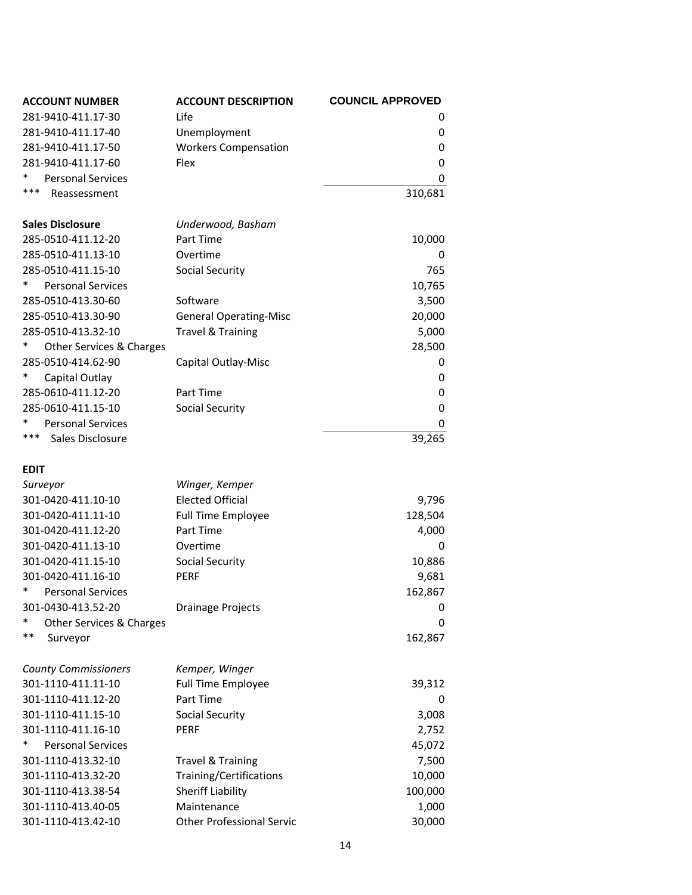| <b>ACCOUNT NUMBER</b>         | <b>ACCOUNT DESCRIPTION</b>       | <b>COUNCIL APPROVED</b> |
|-------------------------------|----------------------------------|-------------------------|
| 281-9410-411.17-30            | Life                             | 0                       |
| 281-9410-411.17-40            | Unemployment                     | 0                       |
| 281-9410-411.17-50            | <b>Workers Compensation</b>      | 0                       |
| 281-9410-411.17-60            | Flex                             | 0                       |
| <b>Personal Services</b>      |                                  | 0                       |
| ***<br>Reassessment           |                                  | 310,681                 |
|                               |                                  |                         |
| <b>Sales Disclosure</b>       | Underwood, Basham                |                         |
| 285-0510-411.12-20            | Part Time                        | 10,000                  |
| 285-0510-411.13-10            | Overtime                         | 0                       |
| 285-0510-411.15-10            | <b>Social Security</b>           | 765                     |
| *<br><b>Personal Services</b> |                                  | 10,765                  |
| 285-0510-413.30-60            | Software                         | 3,500                   |
| 285-0510-413.30-90            | <b>General Operating-Misc</b>    | 20,000                  |
| 285-0510-413.32-10            | <b>Travel &amp; Training</b>     | 5,000                   |
| Other Services & Charges      |                                  | 28,500                  |
| 285-0510-414.62-90            | Capital Outlay-Misc              | 0                       |
| *<br>Capital Outlay           |                                  | 0                       |
| 285-0610-411.12-20            | Part Time                        | 0                       |
| 285-0610-411.15-10            | Social Security                  | 0                       |
| <b>Personal Services</b>      |                                  | 0                       |
| ***<br>Sales Disclosure       |                                  | 39,265                  |
|                               |                                  |                         |
| <b>EDIT</b>                   |                                  |                         |
| Surveyor                      | Winger, Kemper                   |                         |
| 301-0420-411.10-10            | <b>Elected Official</b>          | 9,796                   |
| 301-0420-411.11-10            | <b>Full Time Employee</b>        | 128,504                 |
| 301-0420-411.12-20            | Part Time                        | 4,000                   |
| 301-0420-411.13-10            | Overtime                         | 0                       |
| 301-0420-411.15-10            | Social Security                  | 10,886                  |
| 301-0420-411.16-10            | <b>PERF</b>                      | 9,681                   |
| *<br><b>Personal Services</b> |                                  | 162,867                 |
| 301-0430-413.52-20            | <b>Drainage Projects</b>         | 0                       |
| *<br>Other Services & Charges |                                  | 0                       |
| $***$<br>Surveyor             |                                  | 162,867                 |
|                               |                                  |                         |
| <b>County Commissioners</b>   | Kemper, Winger                   |                         |
| 301-1110-411.11-10            | <b>Full Time Employee</b>        | 39,312                  |
| 301-1110-411.12-20            | Part Time                        | 0                       |
| 301-1110-411.15-10            | Social Security                  | 3,008                   |
| 301-1110-411.16-10            | <b>PERF</b>                      | 2,752                   |
| *<br><b>Personal Services</b> |                                  | 45,072                  |
| 301-1110-413.32-10            | <b>Travel &amp; Training</b>     | 7,500                   |
| 301-1110-413.32-20            | Training/Certifications          | 10,000                  |
| 301-1110-413.38-54            | <b>Sheriff Liability</b>         | 100,000                 |
| 301-1110-413.40-05            | Maintenance                      | 1,000                   |
| 301-1110-413.42-10            | <b>Other Professional Servic</b> | 30,000                  |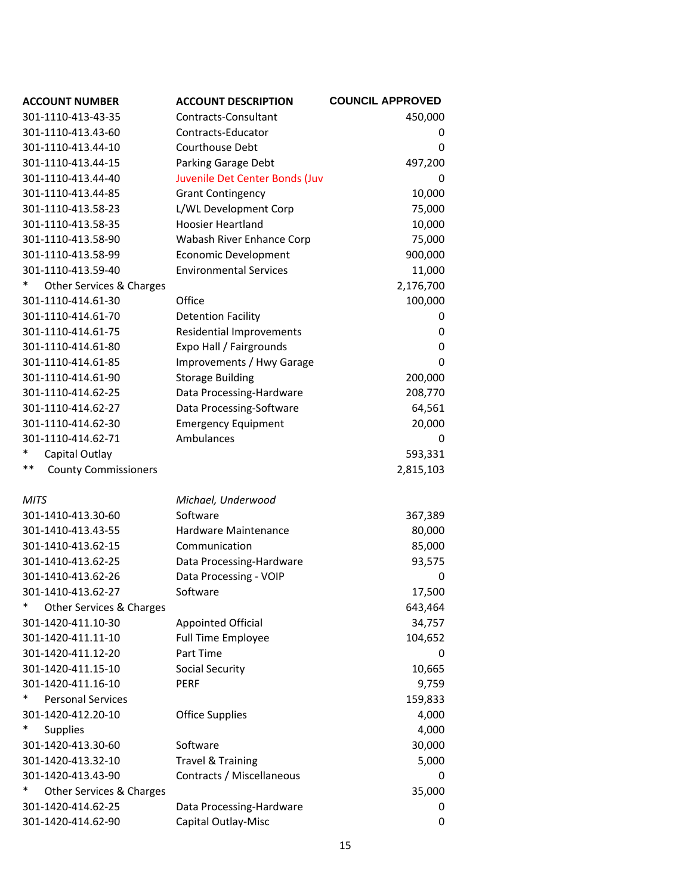| <b>ACCOUNT NUMBER</b>             | <b>ACCOUNT DESCRIPTION</b>      | <b>COUNCIL APPROVED</b> |
|-----------------------------------|---------------------------------|-------------------------|
| 301-1110-413-43-35                | Contracts-Consultant            | 450,000                 |
| 301-1110-413.43-60                | Contracts-Educator              | 0                       |
| 301-1110-413.44-10                | Courthouse Debt                 | 0                       |
| 301-1110-413.44-15                | Parking Garage Debt             | 497,200                 |
| 301-1110-413.44-40                | Juvenile Det Center Bonds (Juv  | 0                       |
| 301-1110-413.44-85                | <b>Grant Contingency</b>        | 10,000                  |
| 301-1110-413.58-23                | L/WL Development Corp           | 75,000                  |
| 301-1110-413.58-35                | <b>Hoosier Heartland</b>        | 10,000                  |
| 301-1110-413.58-90                | Wabash River Enhance Corp       | 75,000                  |
| 301-1110-413.58-99                | <b>Economic Development</b>     | 900,000                 |
| 301-1110-413.59-40                | <b>Environmental Services</b>   | 11,000                  |
| *<br>Other Services & Charges     |                                 | 2,176,700               |
| 301-1110-414.61-30                | Office                          | 100,000                 |
| 301-1110-414.61-70                | <b>Detention Facility</b>       | 0                       |
| 301-1110-414.61-75                | <b>Residential Improvements</b> | 0                       |
| 301-1110-414.61-80                | Expo Hall / Fairgrounds         | 0                       |
| 301-1110-414.61-85                | Improvements / Hwy Garage       | 0                       |
| 301-1110-414.61-90                | <b>Storage Building</b>         | 200,000                 |
| 301-1110-414.62-25                | Data Processing-Hardware        | 208,770                 |
| 301-1110-414.62-27                | Data Processing-Software        | 64,561                  |
| 301-1110-414.62-30                | <b>Emergency Equipment</b>      | 20,000                  |
| 301-1110-414.62-71                | Ambulances                      | 0                       |
| *<br>Capital Outlay               |                                 | 593,331                 |
| **<br><b>County Commissioners</b> |                                 | 2,815,103               |
|                                   |                                 |                         |
| <b>MITS</b>                       | Michael, Underwood              |                         |
| 301-1410-413.30-60                | Software                        | 367,389                 |
| 301-1410-413.43-55                | Hardware Maintenance            | 80,000                  |
| 301-1410-413.62-15                | Communication                   | 85,000                  |
| 301-1410-413.62-25                | Data Processing-Hardware        | 93,575                  |
| 301-1410-413.62-26                | Data Processing - VOIP          | 0                       |
| 301-1410-413.62-27                | Software                        | 17,500                  |
| Other Services & Charges          |                                 | 643,464                 |
| 301-1420-411.10-30                | <b>Appointed Official</b>       | 34,757                  |
| 301-1420-411.11-10                | <b>Full Time Employee</b>       | 104,652                 |
| 301-1420-411.12-20                | Part Time                       | 0                       |
| 301-1420-411.15-10                | Social Security                 | 10,665                  |
| 301-1420-411.16-10                | <b>PERF</b>                     | 9,759                   |
| ∗<br><b>Personal Services</b>     |                                 | 159,833                 |
| 301-1420-412.20-10                | <b>Office Supplies</b>          | 4,000                   |
| <b>Supplies</b>                   |                                 | 4,000                   |
| 301-1420-413.30-60                | Software                        | 30,000                  |
| 301-1420-413.32-10                | <b>Travel &amp; Training</b>    | 5,000                   |
| 301-1420-413.43-90                | Contracts / Miscellaneous       | 0                       |
| Other Services & Charges          |                                 | 35,000                  |
| 301-1420-414.62-25                | Data Processing-Hardware        | 0                       |
| 301-1420-414.62-90                | Capital Outlay-Misc             | 0                       |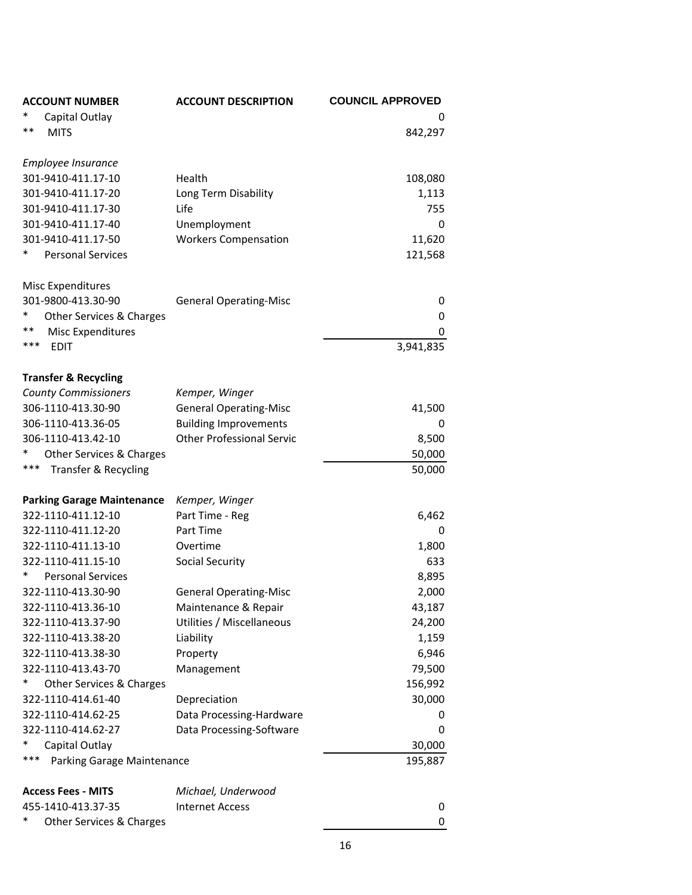| <b>ACCOUNT NUMBER</b>             | <b>ACCOUNT DESCRIPTION</b>       | <b>COUNCIL APPROVED</b> |
|-----------------------------------|----------------------------------|-------------------------|
| Capital Outlay                    |                                  | 0                       |
| **<br><b>MITS</b>                 |                                  | 842,297                 |
|                                   |                                  |                         |
| Employee Insurance                |                                  |                         |
| 301-9410-411.17-10                | Health                           | 108,080                 |
| 301-9410-411.17-20                | Long Term Disability             | 1,113                   |
| 301-9410-411.17-30                | Life                             | 755                     |
| 301-9410-411.17-40                | Unemployment                     | 0                       |
| 301-9410-411.17-50                | <b>Workers Compensation</b>      | 11,620                  |
| *<br><b>Personal Services</b>     |                                  | 121,568                 |
| <b>Misc Expenditures</b>          |                                  |                         |
| 301-9800-413.30-90                | <b>General Operating-Misc</b>    | 0                       |
| *<br>Other Services & Charges     |                                  | 0                       |
| **<br><b>Misc Expenditures</b>    |                                  | 0                       |
| ***<br><b>EDIT</b>                |                                  | 3,941,835               |
| <b>Transfer &amp; Recycling</b>   |                                  |                         |
| <b>County Commissioners</b>       | Kemper, Winger                   |                         |
| 306-1110-413.30-90                | <b>General Operating-Misc</b>    | 41,500                  |
| 306-1110-413.36-05                | <b>Building Improvements</b>     | 0                       |
| 306-1110-413.42-10                | <b>Other Professional Servic</b> | 8,500                   |
| Other Services & Charges          |                                  | 50,000                  |
| ***<br>Transfer & Recycling       |                                  | 50,000                  |
|                                   |                                  |                         |
| <b>Parking Garage Maintenance</b> | Kemper, Winger                   |                         |
| 322-1110-411.12-10                | Part Time - Reg                  | 6,462                   |
| 322-1110-411.12-20                | Part Time                        | 0                       |
| 322-1110-411.13-10                | Overtime                         | 1,800                   |
| 322-1110-411.15-10                | Social Security                  | 633                     |
| <b>Personal Services</b>          |                                  | 8,895                   |
| 322-1110-413.30-90                | <b>General Operating-Misc</b>    | 2,000                   |
| 322-1110-413.36-10                | Maintenance & Repair             | 43,187                  |
| 322-1110-413.37-90                | Utilities / Miscellaneous        | 24,200                  |
| 322-1110-413.38-20                | Liability                        | 1,159                   |
| 322-1110-413.38-30                | Property                         | 6,946                   |
| 322-1110-413.43-70                | Management                       | 79,500                  |
| Other Services & Charges          |                                  | 156,992                 |
| 322-1110-414.61-40                | Depreciation                     | 30,000                  |
| 322-1110-414.62-25                | Data Processing-Hardware         | 0                       |
| 322-1110-414.62-27                | Data Processing-Software         | 0                       |
| Capital Outlay                    |                                  | 30,000                  |
| ***<br>Parking Garage Maintenance |                                  | 195,887                 |
|                                   |                                  |                         |
| <b>Access Fees - MITS</b>         | Michael, Underwood               |                         |
| 455-1410-413.37-35                | <b>Internet Access</b>           | 0                       |
| Other Services & Charges          |                                  | 0                       |

16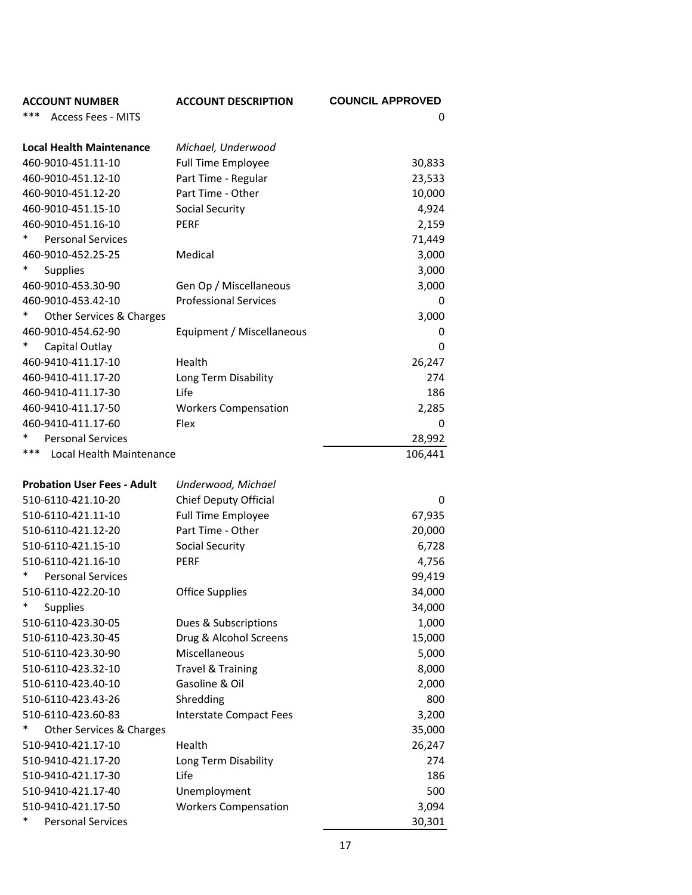| <b>ACCOUNT NUMBER</b>              | <b>ACCOUNT DESCRIPTION</b>   | <b>COUNCIL APPROVED</b> |
|------------------------------------|------------------------------|-------------------------|
| ***<br><b>Access Fees - MITS</b>   |                              | 0                       |
|                                    |                              |                         |
| <b>Local Health Maintenance</b>    | Michael, Underwood           |                         |
| 460-9010-451.11-10                 | <b>Full Time Employee</b>    | 30,833                  |
| 460-9010-451.12-10                 | Part Time - Regular          | 23,533                  |
| 460-9010-451.12-20                 | Part Time - Other            | 10,000                  |
| 460-9010-451.15-10                 | <b>Social Security</b>       | 4,924                   |
| 460-9010-451.16-10                 | <b>PERF</b>                  | 2,159                   |
| <b>Personal Services</b>           |                              | 71,449                  |
| 460-9010-452.25-25                 | Medical                      | 3,000                   |
| *<br><b>Supplies</b>               |                              | 3,000                   |
| 460-9010-453.30-90                 | Gen Op / Miscellaneous       | 3,000                   |
| 460-9010-453.42-10                 | <b>Professional Services</b> | 0                       |
| Other Services & Charges           |                              | 3,000                   |
| 460-9010-454.62-90                 | Equipment / Miscellaneous    | 0                       |
| Capital Outlay                     |                              | 0                       |
| 460-9410-411.17-10                 | Health                       | 26,247                  |
| 460-9410-411.17-20                 | Long Term Disability         | 274                     |
| 460-9410-411.17-30                 | Life                         | 186                     |
| 460-9410-411.17-50                 | <b>Workers Compensation</b>  | 2,285                   |
| 460-9410-411.17-60                 | Flex                         | 0                       |
| <b>Personal Services</b>           |                              | 28,992                  |
| ***<br>Local Health Maintenance    |                              | 106,441                 |
|                                    |                              |                         |
| <b>Probation User Fees - Adult</b> | Underwood, Michael           |                         |
| 510-6110-421.10-20                 | Chief Deputy Official        | 0                       |
| 510-6110-421.11-10                 | <b>Full Time Employee</b>    | 67,935                  |
| 510-6110-421.12-20                 | Part Time - Other            | 20,000                  |
| 510-6110-421.15-10                 | Social Security              | 6,728                   |
| 510-6110-421.16-10                 | <b>PERF</b>                  | 4,756                   |
| *<br><b>Personal Services</b>      |                              | 99,419                  |
| 510-6110-422.20-10                 | <b>Office Supplies</b>       | 34,000                  |
| *<br>Supplies                      |                              | 34,000                  |
| 510-6110-423.30-05                 | Dues & Subscriptions         | 1,000                   |
| 510-6110-423.30-45                 | Drug & Alcohol Screens       | 15,000                  |
| 510-6110-423.30-90                 | Miscellaneous                | 5,000                   |
| 510-6110-423.32-10                 | <b>Travel &amp; Training</b> | 8,000                   |
| 510-6110-423.40-10                 | Gasoline & Oil               | 2,000                   |
| 510-6110-423.43-26                 | Shredding                    | 800                     |
| 510-6110-423.60-83                 | Interstate Compact Fees      | 3,200                   |
|                                    |                              |                         |
| Other Services & Charges           |                              | 35,000                  |
| 510-9410-421.17-10                 | Health                       | 26,247                  |
| 510-9410-421.17-20                 | Long Term Disability         | 274                     |
| 510-9410-421.17-30                 | Life                         | 186                     |
| 510-9410-421.17-40                 | Unemployment                 | 500                     |
| 510-9410-421.17-50                 | <b>Workers Compensation</b>  | 3,094                   |
| ∗<br><b>Personal Services</b>      |                              | 30,301                  |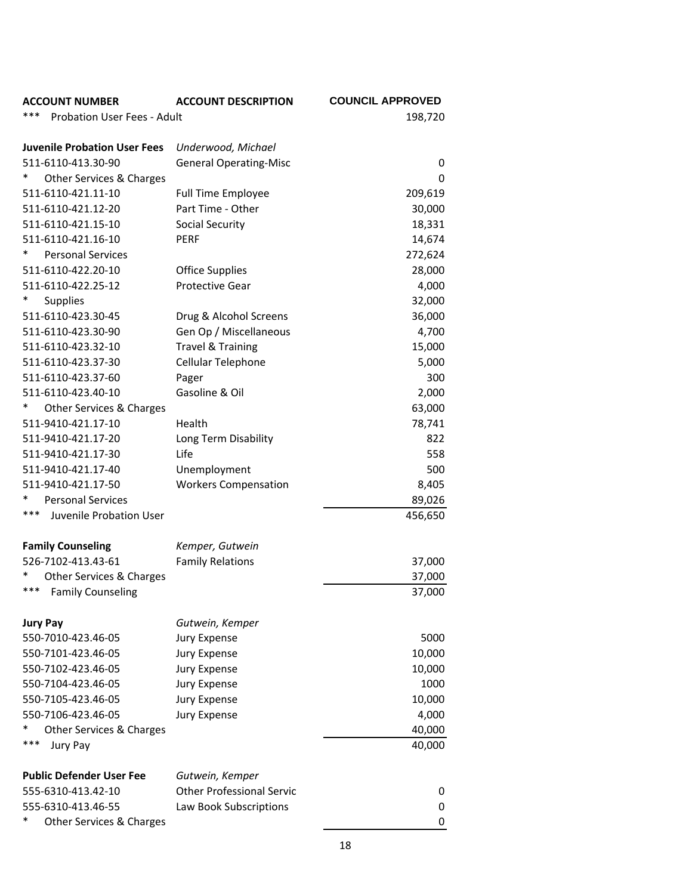| <b>ACCOUNT NUMBER</b>                                 | <b>ACCOUNT DESCRIPTION</b>                          | <b>COUNCIL APPROVED</b> |
|-------------------------------------------------------|-----------------------------------------------------|-------------------------|
| ***<br>Probation User Fees - Adult                    |                                                     | 198,720                 |
|                                                       |                                                     |                         |
| <b>Juvenile Probation User Fees</b>                   | Underwood, Michael                                  |                         |
| 511-6110-413.30-90                                    | <b>General Operating-Misc</b>                       | 0                       |
| *<br>Other Services & Charges                         |                                                     | 0                       |
| 511-6110-421.11-10                                    | <b>Full Time Employee</b>                           | 209,619                 |
| 511-6110-421.12-20                                    | Part Time - Other                                   | 30,000                  |
| 511-6110-421.15-10                                    | <b>Social Security</b>                              | 18,331                  |
| 511-6110-421.16-10                                    | <b>PERF</b>                                         | 14,674                  |
| <b>Personal Services</b>                              |                                                     | 272,624                 |
| 511-6110-422.20-10                                    | <b>Office Supplies</b>                              | 28,000                  |
| 511-6110-422.25-12                                    | <b>Protective Gear</b>                              | 4,000                   |
| $\ast$<br><b>Supplies</b>                             |                                                     | 32,000                  |
| 511-6110-423.30-45                                    | Drug & Alcohol Screens                              | 36,000                  |
| 511-6110-423.30-90                                    | Gen Op / Miscellaneous                              | 4,700                   |
| 511-6110-423.32-10                                    | <b>Travel &amp; Training</b>                        | 15,000                  |
| 511-6110-423.37-30                                    | Cellular Telephone                                  | 5,000                   |
| 511-6110-423.37-60                                    | Pager                                               | 300                     |
| 511-6110-423.40-10                                    | Gasoline & Oil                                      | 2,000                   |
| *<br>Other Services & Charges                         |                                                     | 63,000                  |
| 511-9410-421.17-10                                    | Health                                              | 78,741                  |
| 511-9410-421.17-20                                    | Long Term Disability                                | 822                     |
| 511-9410-421.17-30                                    | Life                                                | 558                     |
| 511-9410-421.17-40                                    | Unemployment                                        | 500                     |
| 511-9410-421.17-50                                    | <b>Workers Compensation</b>                         | 8,405                   |
| <b>Personal Services</b>                              |                                                     | 89,026                  |
| ***<br>Juvenile Probation User                        |                                                     | 456,650                 |
|                                                       |                                                     |                         |
| <b>Family Counseling</b>                              | Kemper, Gutwein                                     |                         |
| 526-7102-413.43-61                                    | <b>Family Relations</b>                             | 37,000                  |
| *<br>Other Services & Charges                         |                                                     | 37,000                  |
| ***<br><b>Family Counseling</b>                       |                                                     | 37,000                  |
| <b>Jury Pay</b>                                       | Gutwein, Kemper                                     |                         |
| 550-7010-423.46-05                                    | Jury Expense                                        | 5000                    |
| 550-7101-423.46-05                                    | Jury Expense                                        | 10,000                  |
| 550-7102-423.46-05                                    | Jury Expense                                        | 10,000                  |
| 550-7104-423.46-05                                    | Jury Expense                                        | 1000                    |
| 550-7105-423.46-05                                    | Jury Expense                                        | 10,000                  |
| 550-7106-423.46-05                                    | Jury Expense                                        | 4,000                   |
| *<br>Other Services & Charges                         |                                                     | 40,000                  |
| ***<br>Jury Pay                                       |                                                     | 40,000                  |
|                                                       |                                                     |                         |
| <b>Public Defender User Fee</b><br>555-6310-413.42-10 | Gutwein, Kemper<br><b>Other Professional Servic</b> |                         |
| 555-6310-413.46-55                                    | Law Book Subscriptions                              | 0<br>0                  |
| ∗<br>Other Services & Charges                         |                                                     | 0                       |
|                                                       |                                                     |                         |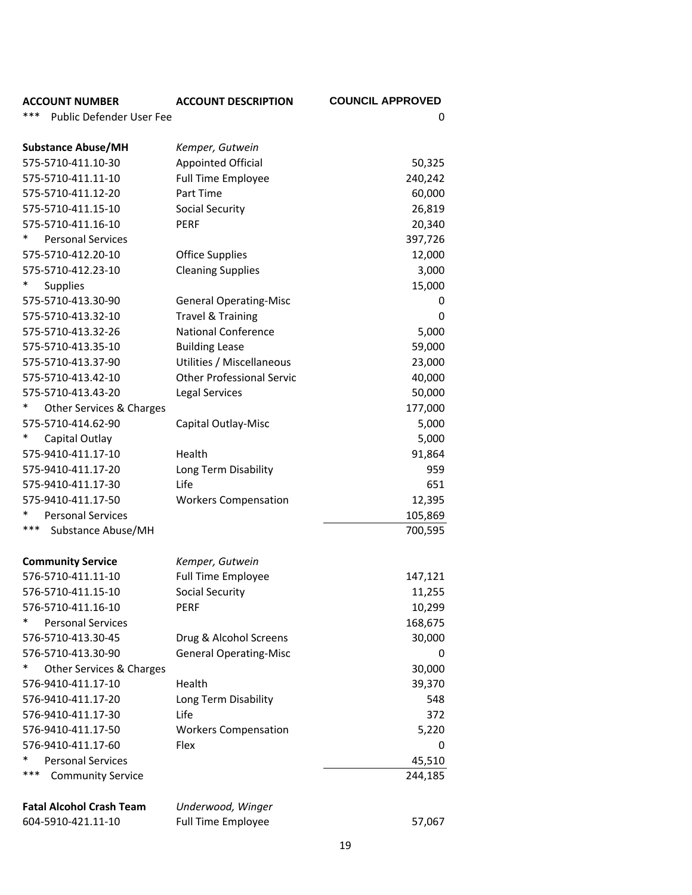| <b>ACCOUNT NUMBER</b>                  | <b>ACCOUNT DESCRIPTION</b>       | <b>COUNCIL APPROVED</b> |
|----------------------------------------|----------------------------------|-------------------------|
| ***<br><b>Public Defender User Fee</b> |                                  | 0                       |
|                                        |                                  |                         |
| <b>Substance Abuse/MH</b>              | Kemper, Gutwein                  |                         |
| 575-5710-411.10-30                     | Appointed Official               | 50,325                  |
| 575-5710-411.11-10                     | Full Time Employee               | 240,242                 |
| 575-5710-411.12-20                     | Part Time                        | 60,000                  |
| 575-5710-411.15-10                     | Social Security                  | 26,819                  |
| 575-5710-411.16-10                     | <b>PERF</b>                      | 20,340                  |
| $\ast$<br><b>Personal Services</b>     |                                  | 397,726                 |
| 575-5710-412.20-10                     | <b>Office Supplies</b>           | 12,000                  |
| 575-5710-412.23-10                     | <b>Cleaning Supplies</b>         | 3,000                   |
| *<br><b>Supplies</b>                   |                                  | 15,000                  |
| 575-5710-413.30-90                     | <b>General Operating-Misc</b>    | 0                       |
| 575-5710-413.32-10                     | <b>Travel &amp; Training</b>     | 0                       |
| 575-5710-413.32-26                     | <b>National Conference</b>       | 5,000                   |
| 575-5710-413.35-10                     | <b>Building Lease</b>            | 59,000                  |
| 575-5710-413.37-90                     | Utilities / Miscellaneous        | 23,000                  |
| 575-5710-413.42-10                     | <b>Other Professional Servic</b> | 40,000                  |
| 575-5710-413.43-20                     | <b>Legal Services</b>            | 50,000                  |
| $\ast$<br>Other Services & Charges     |                                  | 177,000                 |
| 575-5710-414.62-90                     | Capital Outlay-Misc              | 5,000                   |
| *<br>Capital Outlay                    |                                  | 5,000                   |
| 575-9410-411.17-10                     | Health                           | 91,864                  |
| 575-9410-411.17-20                     | Long Term Disability             | 959                     |
| 575-9410-411.17-30                     | Life                             | 651                     |
| 575-9410-411.17-50                     | <b>Workers Compensation</b>      | 12,395                  |
| *<br><b>Personal Services</b>          |                                  | 105,869                 |
| ***<br>Substance Abuse/MH              |                                  | 700,595                 |
|                                        |                                  |                         |
| <b>Community Service</b>               | Kemper, Gutwein                  |                         |
| 576-5710-411.11-10                     | Full Time Employee               | 147,121                 |
| 576-5710-411.15-10                     | Social Security                  | 11,255                  |
| 576-5710-411.16-10                     | <b>PERF</b>                      | 10,299                  |
| *<br><b>Personal Services</b>          |                                  | 168,675                 |
| 576-5710-413.30-45                     | Drug & Alcohol Screens           | 30,000                  |
| 576-5710-413.30-90                     | <b>General Operating-Misc</b>    | 0                       |
| Other Services & Charges               |                                  | 30,000                  |
| 576-9410-411.17-10                     | Health                           | 39,370                  |
| 576-9410-411.17-20                     | Long Term Disability             | 548                     |
| 576-9410-411.17-30                     | Life                             | 372                     |
| 576-9410-411.17-50                     | <b>Workers Compensation</b>      | 5,220                   |
| 576-9410-411.17-60                     | Flex                             | 0                       |
| *<br><b>Personal Services</b>          |                                  | 45,510                  |
| ***<br><b>Community Service</b>        |                                  | 244,185                 |
|                                        |                                  |                         |
| <b>Fatal Alcohol Crash Team</b>        | Underwood, Winger                |                         |
| 604-5910-421.11-10                     | <b>Full Time Employee</b>        | 57,067                  |